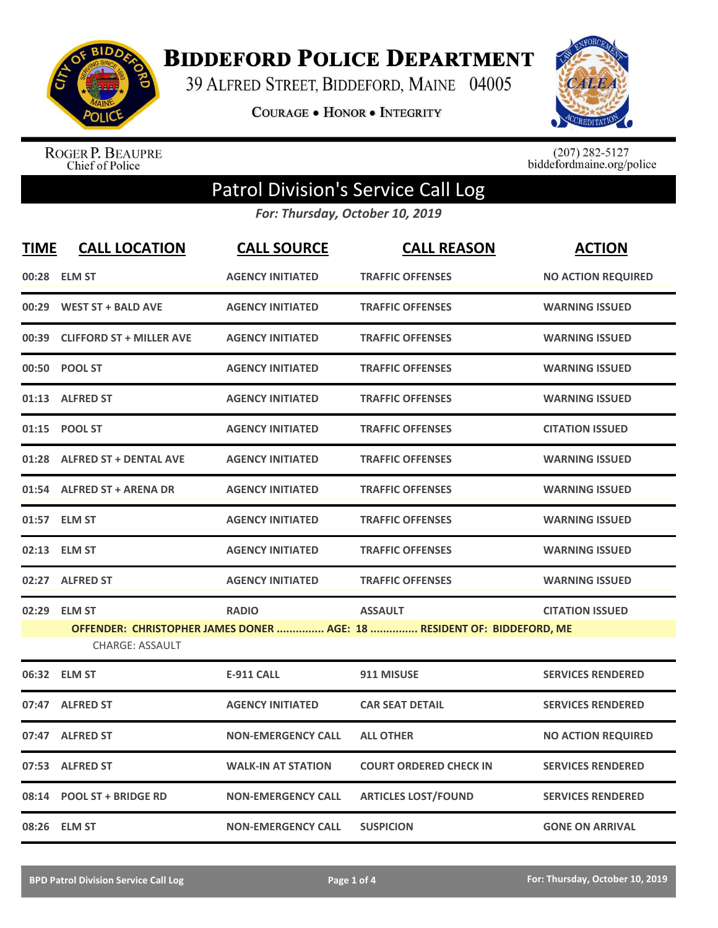

**BIDDEFORD POLICE DEPARTMENT** 

39 ALFRED STREET, BIDDEFORD, MAINE 04005

**COURAGE . HONOR . INTEGRITY** 



ROGER P. BEAUPRE<br>Chief of Police

 $(207)$  282-5127<br>biddefordmaine.org/police

## Patrol Division's Service Call Log

*For: Thursday, October 10, 2019*

| <b>TIME</b> | <b>CALL LOCATION</b>            | <b>CALL SOURCE</b>        | <b>CALL REASON</b>                                                     | <b>ACTION</b>             |
|-------------|---------------------------------|---------------------------|------------------------------------------------------------------------|---------------------------|
|             | 00:28 ELM ST                    | <b>AGENCY INITIATED</b>   | <b>TRAFFIC OFFENSES</b>                                                | <b>NO ACTION REQUIRED</b> |
| 00:29       | <b>WEST ST + BALD AVE</b>       | <b>AGENCY INITIATED</b>   | <b>TRAFFIC OFFENSES</b>                                                | <b>WARNING ISSUED</b>     |
| 00:39       | <b>CLIFFORD ST + MILLER AVE</b> | <b>AGENCY INITIATED</b>   | <b>TRAFFIC OFFENSES</b>                                                | <b>WARNING ISSUED</b>     |
| 00:50       | <b>POOL ST</b>                  | <b>AGENCY INITIATED</b>   | <b>TRAFFIC OFFENSES</b>                                                | <b>WARNING ISSUED</b>     |
| 01:13       | <b>ALFRED ST</b>                | <b>AGENCY INITIATED</b>   | <b>TRAFFIC OFFENSES</b>                                                | <b>WARNING ISSUED</b>     |
| 01:15       | <b>POOL ST</b>                  | <b>AGENCY INITIATED</b>   | <b>TRAFFIC OFFENSES</b>                                                | <b>CITATION ISSUED</b>    |
| 01:28       | <b>ALFRED ST + DENTAL AVE</b>   | <b>AGENCY INITIATED</b>   | <b>TRAFFIC OFFENSES</b>                                                | <b>WARNING ISSUED</b>     |
|             | 01:54 ALFRED ST + ARENA DR      | <b>AGENCY INITIATED</b>   | <b>TRAFFIC OFFENSES</b>                                                | <b>WARNING ISSUED</b>     |
|             | 01:57 ELM ST                    | <b>AGENCY INITIATED</b>   | <b>TRAFFIC OFFENSES</b>                                                | <b>WARNING ISSUED</b>     |
|             | 02:13 ELM ST                    | <b>AGENCY INITIATED</b>   | <b>TRAFFIC OFFENSES</b>                                                | <b>WARNING ISSUED</b>     |
|             | 02:27 ALFRED ST                 | <b>AGENCY INITIATED</b>   | <b>TRAFFIC OFFENSES</b>                                                | <b>WARNING ISSUED</b>     |
| 02:29       | <b>ELM ST</b>                   | <b>RADIO</b>              | <b>ASSAULT</b>                                                         | <b>CITATION ISSUED</b>    |
|             | <b>CHARGE: ASSAULT</b>          |                           | OFFENDER: CHRISTOPHER JAMES DONER  AGE: 18  RESIDENT OF: BIDDEFORD, ME |                           |
|             | 06:32 ELM ST                    | <b>E-911 CALL</b>         | 911 MISUSE                                                             | <b>SERVICES RENDERED</b>  |
| 07:47       | <b>ALFRED ST</b>                | <b>AGENCY INITIATED</b>   | <b>CAR SEAT DETAIL</b>                                                 | <b>SERVICES RENDERED</b>  |
| 07:47       | <b>ALFRED ST</b>                | <b>NON-EMERGENCY CALL</b> | <b>ALL OTHER</b>                                                       | <b>NO ACTION REQUIRED</b> |
| 07:53       | <b>ALFRED ST</b>                | <b>WALK-IN AT STATION</b> | <b>COURT ORDERED CHECK IN</b>                                          | <b>SERVICES RENDERED</b>  |
| 08:14       | <b>POOL ST + BRIDGE RD</b>      | <b>NON-EMERGENCY CALL</b> | <b>ARTICLES LOST/FOUND</b>                                             | <b>SERVICES RENDERED</b>  |
| 08:26       | <b>ELM ST</b>                   | <b>NON-EMERGENCY CALL</b> | <b>SUSPICION</b>                                                       | <b>GONE ON ARRIVAL</b>    |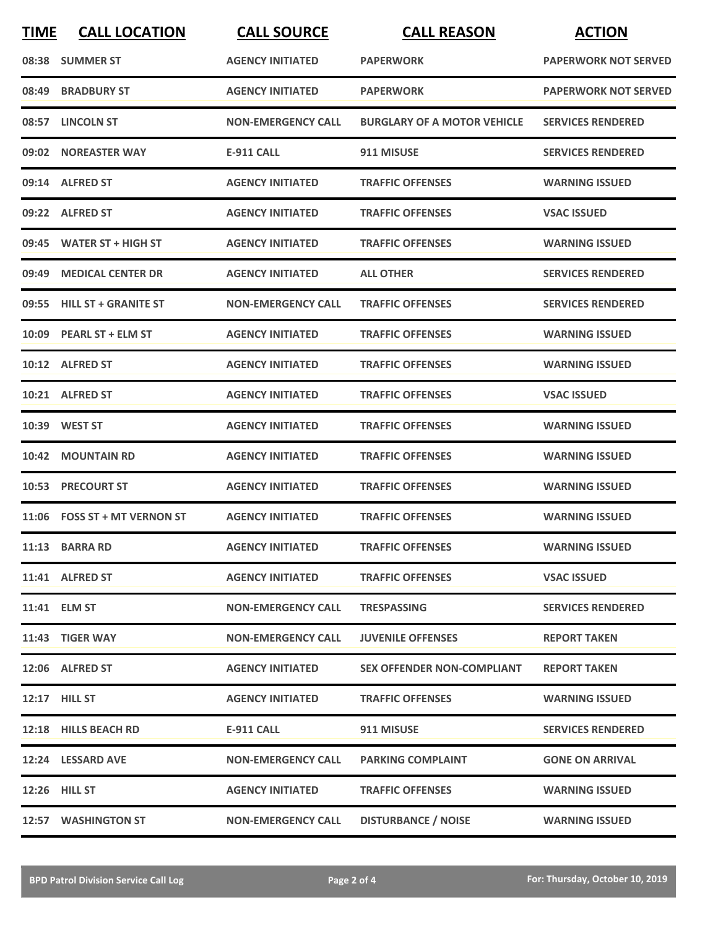| <b>TIME</b> | <b>CALL LOCATION</b>         | <b>CALL SOURCE</b>        | <b>CALL REASON</b>                 | <b>ACTION</b>               |
|-------------|------------------------------|---------------------------|------------------------------------|-----------------------------|
|             | 08:38 SUMMER ST              | <b>AGENCY INITIATED</b>   | <b>PAPERWORK</b>                   | <b>PAPERWORK NOT SERVED</b> |
| 08:49       | <b>BRADBURY ST</b>           | <b>AGENCY INITIATED</b>   | <b>PAPERWORK</b>                   | <b>PAPERWORK NOT SERVED</b> |
|             | 08:57 LINCOLN ST             | <b>NON-EMERGENCY CALL</b> | <b>BURGLARY OF A MOTOR VEHICLE</b> | <b>SERVICES RENDERED</b>    |
|             | 09:02 NOREASTER WAY          | E-911 CALL                | 911 MISUSE                         | <b>SERVICES RENDERED</b>    |
|             | 09:14 ALFRED ST              | <b>AGENCY INITIATED</b>   | <b>TRAFFIC OFFENSES</b>            | <b>WARNING ISSUED</b>       |
|             | 09:22 ALFRED ST              | <b>AGENCY INITIATED</b>   | <b>TRAFFIC OFFENSES</b>            | <b>VSAC ISSUED</b>          |
|             | 09:45 WATER ST + HIGH ST     | <b>AGENCY INITIATED</b>   | <b>TRAFFIC OFFENSES</b>            | <b>WARNING ISSUED</b>       |
|             | 09:49 MEDICAL CENTER DR      | <b>AGENCY INITIATED</b>   | <b>ALL OTHER</b>                   | <b>SERVICES RENDERED</b>    |
|             | 09:55 HILL ST + GRANITE ST   | <b>NON-EMERGENCY CALL</b> | <b>TRAFFIC OFFENSES</b>            | <b>SERVICES RENDERED</b>    |
|             | 10:09 PEARL ST + ELM ST      | <b>AGENCY INITIATED</b>   | <b>TRAFFIC OFFENSES</b>            | <b>WARNING ISSUED</b>       |
|             | 10:12 ALFRED ST              | <b>AGENCY INITIATED</b>   | <b>TRAFFIC OFFENSES</b>            | <b>WARNING ISSUED</b>       |
|             | 10:21 ALFRED ST              | <b>AGENCY INITIATED</b>   | <b>TRAFFIC OFFENSES</b>            | <b>VSAC ISSUED</b>          |
|             | 10:39 WEST ST                | <b>AGENCY INITIATED</b>   | <b>TRAFFIC OFFENSES</b>            | <b>WARNING ISSUED</b>       |
|             | 10:42 MOUNTAIN RD            | <b>AGENCY INITIATED</b>   | <b>TRAFFIC OFFENSES</b>            | <b>WARNING ISSUED</b>       |
|             | <b>10:53 PRECOURT ST</b>     | <b>AGENCY INITIATED</b>   | <b>TRAFFIC OFFENSES</b>            | <b>WARNING ISSUED</b>       |
|             | 11:06 FOSS ST + MT VERNON ST | <b>AGENCY INITIATED</b>   | <b>TRAFFIC OFFENSES</b>            | <b>WARNING ISSUED</b>       |
|             | 11:13 BARRA RD               | <b>AGENCY INITIATED</b>   | <b>TRAFFIC OFFENSES</b>            | <b>WARNING ISSUED</b>       |
|             | 11:41 ALFRED ST              | <b>AGENCY INITIATED</b>   | <b>TRAFFIC OFFENSES</b>            | <b>VSAC ISSUED</b>          |
|             | 11:41 ELM ST                 | <b>NON-EMERGENCY CALL</b> | <b>TRESPASSING</b>                 | <b>SERVICES RENDERED</b>    |
|             | 11:43 TIGER WAY              | <b>NON-EMERGENCY CALL</b> | <b>JUVENILE OFFENSES</b>           | <b>REPORT TAKEN</b>         |
|             | 12:06 ALFRED ST              | <b>AGENCY INITIATED</b>   | <b>SEX OFFENDER NON-COMPLIANT</b>  | <b>REPORT TAKEN</b>         |
|             | 12:17 HILL ST                | <b>AGENCY INITIATED</b>   | <b>TRAFFIC OFFENSES</b>            | <b>WARNING ISSUED</b>       |
|             | 12:18 HILLS BEACH RD         | E-911 CALL                | 911 MISUSE                         | <b>SERVICES RENDERED</b>    |
|             | 12:24 LESSARD AVE            | <b>NON-EMERGENCY CALL</b> | <b>PARKING COMPLAINT</b>           | <b>GONE ON ARRIVAL</b>      |
|             | <b>12:26 HILL ST</b>         | <b>AGENCY INITIATED</b>   | <b>TRAFFIC OFFENSES</b>            | <b>WARNING ISSUED</b>       |
|             | 12:57 WASHINGTON ST          | <b>NON-EMERGENCY CALL</b> | <b>DISTURBANCE / NOISE</b>         | <b>WARNING ISSUED</b>       |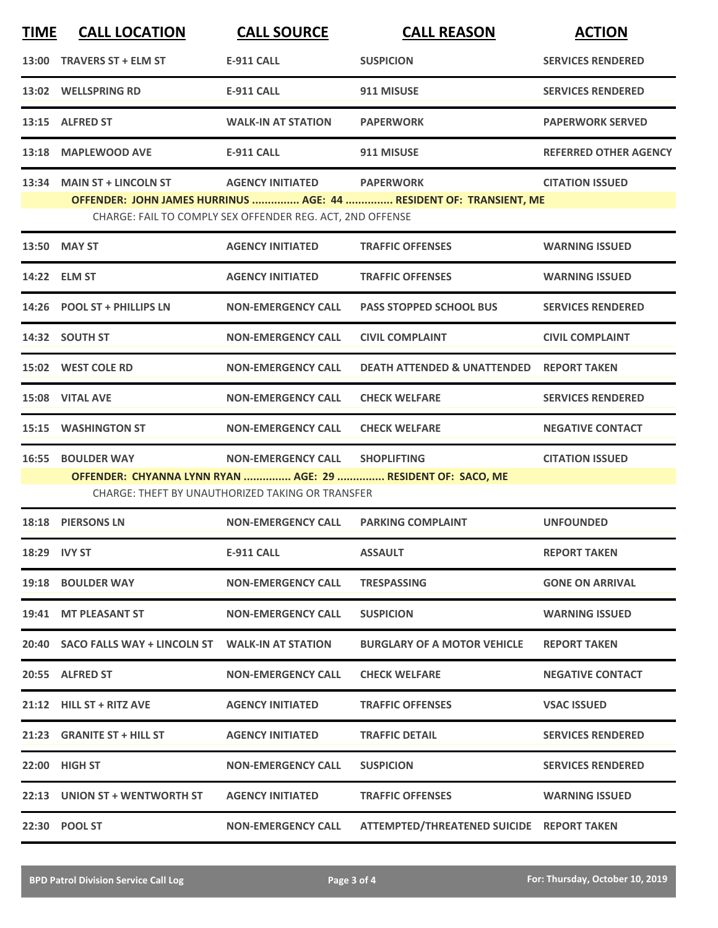| <b>TIME</b>                                                                                                                                                                                                                 | <b>CALL LOCATION</b>                                                                                                                                                                                                  | <b>CALL SOURCE</b>        | <b>CALL REASON</b>                                  | <b>ACTION</b>                |  |  |
|-----------------------------------------------------------------------------------------------------------------------------------------------------------------------------------------------------------------------------|-----------------------------------------------------------------------------------------------------------------------------------------------------------------------------------------------------------------------|---------------------------|-----------------------------------------------------|------------------------------|--|--|
|                                                                                                                                                                                                                             | 13:00 TRAVERS ST + ELM ST                                                                                                                                                                                             | <b>E-911 CALL</b>         | <b>SUSPICION</b>                                    | <b>SERVICES RENDERED</b>     |  |  |
|                                                                                                                                                                                                                             | 13:02 WELLSPRING RD                                                                                                                                                                                                   | <b>E-911 CALL</b>         | 911 MISUSE                                          | <b>SERVICES RENDERED</b>     |  |  |
|                                                                                                                                                                                                                             | 13:15 ALFRED ST                                                                                                                                                                                                       | <b>WALK-IN AT STATION</b> | <b>PAPERWORK</b>                                    | <b>PAPERWORK SERVED</b>      |  |  |
|                                                                                                                                                                                                                             | 13:18 MAPLEWOOD AVE                                                                                                                                                                                                   | <b>E-911 CALL</b>         | 911 MISUSE                                          | <b>REFERRED OTHER AGENCY</b> |  |  |
|                                                                                                                                                                                                                             | 13:34 MAIN ST + LINCOLN ST<br>AGENCY INITIATED PAPERWORK<br><b>CITATION ISSUED</b><br>OFFENDER: JOHN JAMES HURRINUS  AGE: 44  RESIDENT OF: TRANSIENT, ME<br>CHARGE: FAIL TO COMPLY SEX OFFENDER REG. ACT, 2ND OFFENSE |                           |                                                     |                              |  |  |
|                                                                                                                                                                                                                             | 13:50 MAY ST                                                                                                                                                                                                          | <b>AGENCY INITIATED</b>   | <b>TRAFFIC OFFENSES</b>                             | <b>WARNING ISSUED</b>        |  |  |
|                                                                                                                                                                                                                             | 14:22 ELM ST                                                                                                                                                                                                          | <b>AGENCY INITIATED</b>   | <b>TRAFFIC OFFENSES</b>                             | <b>WARNING ISSUED</b>        |  |  |
|                                                                                                                                                                                                                             | 14:26 POOL ST + PHILLIPS LN                                                                                                                                                                                           | <b>NON-EMERGENCY CALL</b> | <b>PASS STOPPED SCHOOL BUS</b>                      | <b>SERVICES RENDERED</b>     |  |  |
|                                                                                                                                                                                                                             | 14:32 SOUTH ST                                                                                                                                                                                                        | <b>NON-EMERGENCY CALL</b> | <b>CIVIL COMPLAINT</b>                              | <b>CIVIL COMPLAINT</b>       |  |  |
|                                                                                                                                                                                                                             | 15:02 WEST COLE RD                                                                                                                                                                                                    | <b>NON-EMERGENCY CALL</b> | <b>DEATH ATTENDED &amp; UNATTENDED REPORT TAKEN</b> |                              |  |  |
|                                                                                                                                                                                                                             | 15:08 VITAL AVE                                                                                                                                                                                                       | <b>NON-EMERGENCY CALL</b> | <b>CHECK WELFARE</b>                                | <b>SERVICES RENDERED</b>     |  |  |
|                                                                                                                                                                                                                             | <b>15:15 WASHINGTON ST</b>                                                                                                                                                                                            | <b>NON-EMERGENCY CALL</b> | <b>CHECK WELFARE</b>                                | <b>NEGATIVE CONTACT</b>      |  |  |
| <b>BOULDER WAY</b><br><b>NON-EMERGENCY CALL</b><br><b>CITATION ISSUED</b><br>16:55<br><b>SHOPLIFTING</b><br>OFFENDER: CHYANNA LYNN RYAN  AGE: 29  RESIDENT OF: SACO, ME<br>CHARGE: THEFT BY UNAUTHORIZED TAKING OR TRANSFER |                                                                                                                                                                                                                       |                           |                                                     |                              |  |  |
|                                                                                                                                                                                                                             | 18:18 PIERSONS LN                                                                                                                                                                                                     | <b>NON-EMERGENCY CALL</b> | <b>PARKING COMPLAINT</b>                            | <b>UNFOUNDED</b>             |  |  |
| 18:29 IVY ST                                                                                                                                                                                                                |                                                                                                                                                                                                                       | <b>E-911 CALL</b>         | <b>ASSAULT</b>                                      | <b>REPORT TAKEN</b>          |  |  |
|                                                                                                                                                                                                                             | 19:18 BOULDER WAY                                                                                                                                                                                                     | <b>NON-EMERGENCY CALL</b> | <b>TRESPASSING</b>                                  | <b>GONE ON ARRIVAL</b>       |  |  |
|                                                                                                                                                                                                                             | 19:41 MT PLEASANT ST                                                                                                                                                                                                  | <b>NON-EMERGENCY CALL</b> | <b>SUSPICION</b>                                    | <b>WARNING ISSUED</b>        |  |  |
|                                                                                                                                                                                                                             | 20:40 SACO FALLS WAY + LINCOLN ST WALK-IN AT STATION                                                                                                                                                                  |                           | <b>BURGLARY OF A MOTOR VEHICLE</b>                  | <b>REPORT TAKEN</b>          |  |  |
|                                                                                                                                                                                                                             | 20:55 ALFRED ST                                                                                                                                                                                                       | <b>NON-EMERGENCY CALL</b> | <b>CHECK WELFARE</b>                                | <b>NEGATIVE CONTACT</b>      |  |  |
|                                                                                                                                                                                                                             | 21:12 HILL ST + RITZ AVE                                                                                                                                                                                              | <b>AGENCY INITIATED</b>   | <b>TRAFFIC OFFENSES</b>                             | <b>VSAC ISSUED</b>           |  |  |
|                                                                                                                                                                                                                             | 21:23 GRANITE ST + HILL ST                                                                                                                                                                                            | <b>AGENCY INITIATED</b>   | <b>TRAFFIC DETAIL</b>                               | <b>SERVICES RENDERED</b>     |  |  |
|                                                                                                                                                                                                                             | 22:00 HIGH ST                                                                                                                                                                                                         | <b>NON-EMERGENCY CALL</b> | <b>SUSPICION</b>                                    | <b>SERVICES RENDERED</b>     |  |  |
|                                                                                                                                                                                                                             | 22:13 UNION ST + WENTWORTH ST                                                                                                                                                                                         | <b>AGENCY INITIATED</b>   | <b>TRAFFIC OFFENSES</b>                             | <b>WARNING ISSUED</b>        |  |  |
|                                                                                                                                                                                                                             | 22:30 POOL ST                                                                                                                                                                                                         | <b>NON-EMERGENCY CALL</b> | ATTEMPTED/THREATENED SUICIDE REPORT TAKEN           |                              |  |  |